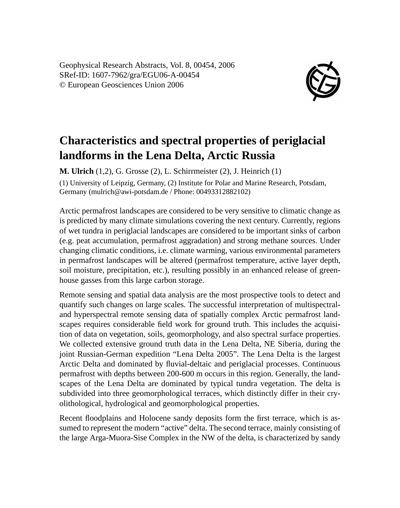Geophysical Research Abstracts, Vol. 8, 00454, 2006 SRef-ID: 1607-7962/gra/EGU06-A-00454 © European Geosciences Union 2006



## **Characteristics and spectral properties of periglacial landforms in the Lena Delta, Arctic Russia**

**M. Ulrich** (1,2), G. Grosse (2), L. Schirrmeister (2), J. Heinrich (1) (1) University of Leipzig, Germany, (2) Institute for Polar and Marine Research, Potsdam, Germany (mulrich@awi-potsdam.de / Phone: 00493312882102)

Arctic permafrost landscapes are considered to be very sensitive to climatic change as is predicted by many climate simulations covering the next century. Currently, regions of wet tundra in periglacial landscapes are considered to be important sinks of carbon (e.g. peat accumulation, permafrost aggradation) and strong methane sources. Under changing climatic conditions, i.e. climate warming, various environmental parameters in permafrost landscapes will be altered (permafrost temperature, active layer depth, soil moisture, precipitation, etc.), resulting possibly in an enhanced release of greenhouse gasses from this large carbon storage.

Remote sensing and spatial data analysis are the most prospective tools to detect and quantify such changes on large scales. The successful interpretation of multispectraland hyperspectral remote sensing data of spatially complex Arctic permafrost landscapes requires considerable field work for ground truth. This includes the acquisition of data on vegetation, soils, geomorphology, and also spectral surface properties. We collected extensive ground truth data in the Lena Delta, NE Siberia, during the joint Russian-German expedition "Lena Delta 2005". The Lena Delta is the largest Arctic Delta and dominated by fluvial-deltaic and periglacial processes. Continuous permafrost with depths between 200-600 m occurs in this region. Generally, the landscapes of the Lena Delta are dominated by typical tundra vegetation. The delta is subdivided into three geomorphological terraces, which distinctly differ in their cryolithological, hydrological and geomorphological properties.

Recent floodplains and Holocene sandy deposits form the first terrace, which is assumed to represent the modern "active" delta. The second terrace, mainly consisting of the large Arga-Muora-Sise Complex in the NW of the delta, is characterized by sandy